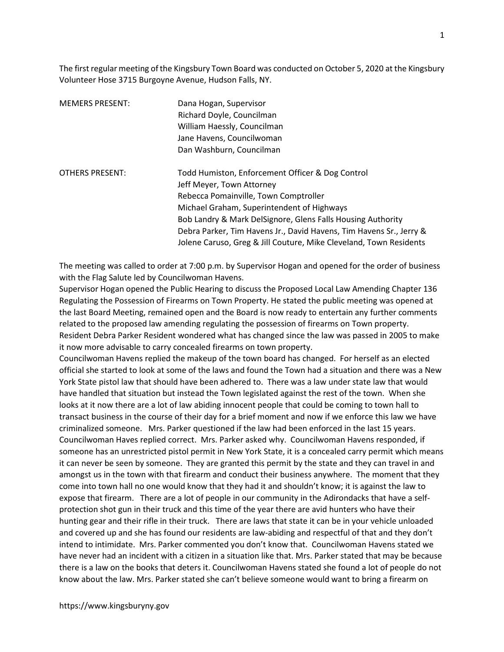The first regular meeting of the Kingsbury Town Board was conducted on October 5, 2020 at the Kingsbury Volunteer Hose 3715 Burgoyne Avenue, Hudson Falls, NY.

| <b>MEMERS PRESENT:</b> | Dana Hogan, Supervisor<br>Richard Doyle, Councilman<br>William Haessly, Councilman<br>Jane Havens, Councilwoman<br>Dan Washburn, Councilman                                                                                         |
|------------------------|-------------------------------------------------------------------------------------------------------------------------------------------------------------------------------------------------------------------------------------|
| <b>OTHERS PRESENT:</b> | Todd Humiston, Enforcement Officer & Dog Control<br>Jeff Meyer, Town Attorney<br>Rebecca Pomainville, Town Comptroller<br>Michael Graham, Superintendent of Highways<br>Bob Landry & Mark DelSignore, Glens Falls Housing Authority |
|                        | Debra Parker, Tim Havens Jr., David Havens, Tim Havens Sr., Jerry &<br>Jolene Caruso, Greg & Jill Couture, Mike Cleveland, Town Residents                                                                                           |

The meeting was called to order at 7:00 p.m. by Supervisor Hogan and opened for the order of business with the Flag Salute led by Councilwoman Havens.

Supervisor Hogan opened the Public Hearing to discuss the Proposed Local Law Amending Chapter 136 Regulating the Possession of Firearms on Town Property. He stated the public meeting was opened at the last Board Meeting, remained open and the Board is now ready to entertain any further comments related to the proposed law amending regulating the possession of firearms on Town property. Resident Debra Parker Resident wondered what has changed since the law was passed in 2005 to make it now more advisable to carry concealed firearms on town property.

Councilwoman Havens replied the makeup of the town board has changed. For herself as an elected official she started to look at some of the laws and found the Town had a situation and there was a New York State pistol law that should have been adhered to. There was a law under state law that would have handled that situation but instead the Town legislated against the rest of the town. When she looks at it now there are a lot of law abiding innocent people that could be coming to town hall to transact business in the course of their day for a brief moment and now if we enforce this law we have criminalized someone. Mrs. Parker questioned if the law had been enforced in the last 15 years. Councilwoman Haves replied correct. Mrs. Parker asked why. Councilwoman Havens responded, if someone has an unrestricted pistol permit in New York State, it is a concealed carry permit which means it can never be seen by someone. They are granted this permit by the state and they can travel in and amongst us in the town with that firearm and conduct their business anywhere. The moment that they come into town hall no one would know that they had it and shouldn't know; it is against the law to expose that firearm. There are a lot of people in our community in the Adirondacks that have a selfprotection shot gun in their truck and this time of the year there are avid hunters who have their hunting gear and their rifle in their truck. There are laws that state it can be in your vehicle unloaded and covered up and she has found our residents are law-abiding and respectful of that and they don't intend to intimidate. Mrs. Parker commented you don't know that. Councilwoman Havens stated we have never had an incident with a citizen in a situation like that. Mrs. Parker stated that may be because there is a law on the books that deters it. Councilwoman Havens stated she found a lot of people do not know about the law. Mrs. Parker stated she can't believe someone would want to bring a firearm on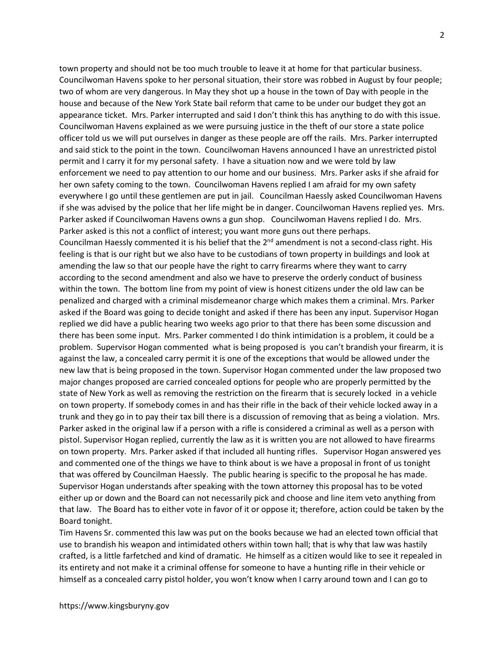town property and should not be too much trouble to leave it at home for that particular business. Councilwoman Havens spoke to her personal situation, their store was robbed in August by four people; two of whom are very dangerous. In May they shot up a house in the town of Day with people in the house and because of the New York State bail reform that came to be under our budget they got an appearance ticket. Mrs. Parker interrupted and said I don't think this has anything to do with this issue. Councilwoman Havens explained as we were pursuing justice in the theft of our store a state police officer told us we will put ourselves in danger as these people are off the rails. Mrs. Parker interrupted and said stick to the point in the town. Councilwoman Havens announced I have an unrestricted pistol permit and I carry it for my personal safety. I have a situation now and we were told by law enforcement we need to pay attention to our home and our business. Mrs. Parker asks if she afraid for her own safety coming to the town. Councilwoman Havens replied I am afraid for my own safety everywhere I go until these gentlemen are put in jail. Councilman Haessly asked Councilwoman Havens if she was advised by the police that her life might be in danger. Councilwoman Havens replied yes. Mrs. Parker asked if Councilwoman Havens owns a gun shop. Councilwoman Havens replied I do. Mrs. Parker asked is this not a conflict of interest; you want more guns out there perhaps. Councilman Haessly commented it is his belief that the  $2^{nd}$  amendment is not a second-class right. His feeling is that is our right but we also have to be custodians of town property in buildings and look at amending the law so that our people have the right to carry firearms where they want to carry according to the second amendment and also we have to preserve the orderly conduct of business within the town. The bottom line from my point of view is honest citizens under the old law can be penalized and charged with a criminal misdemeanor charge which makes them a criminal. Mrs. Parker asked if the Board was going to decide tonight and asked if there has been any input. Supervisor Hogan replied we did have a public hearing two weeks ago prior to that there has been some discussion and there has been some input. Mrs. Parker commented I do think intimidation is a problem, it could be a problem. Supervisor Hogan commented what is being proposed is you can't brandish your firearm, it is against the law, a concealed carry permit it is one of the exceptions that would be allowed under the new law that is being proposed in the town. Supervisor Hogan commented under the law proposed two major changes proposed are carried concealed options for people who are properly permitted by the state of New York as well as removing the restriction on the firearm that is securely locked in a vehicle on town property. If somebody comes in and has their rifle in the back of their vehicle locked away in a trunk and they go in to pay their tax bill there is a discussion of removing that as being a violation. Mrs. Parker asked in the original law if a person with a rifle is considered a criminal as well as a person with pistol. Supervisor Hogan replied, currently the law as it is written you are not allowed to have firearms on town property. Mrs. Parker asked if that included all hunting rifles. Supervisor Hogan answered yes and commented one of the things we have to think about is we have a proposal in front of us tonight that was offered by Councilman Haessly. The public hearing is specific to the proposal he has made. Supervisor Hogan understands after speaking with the town attorney this proposal has to be voted either up or down and the Board can not necessarily pick and choose and line item veto anything from that law. The Board has to either vote in favor of it or oppose it; therefore, action could be taken by the Board tonight.

Tim Havens Sr. commented this law was put on the books because we had an elected town official that use to brandish his weapon and intimidated others within town hall; that is why that law was hastily crafted, is a little farfetched and kind of dramatic. He himself as a citizen would like to see it repealed in its entirety and not make it a criminal offense for someone to have a hunting rifle in their vehicle or himself as a concealed carry pistol holder, you won't know when I carry around town and I can go to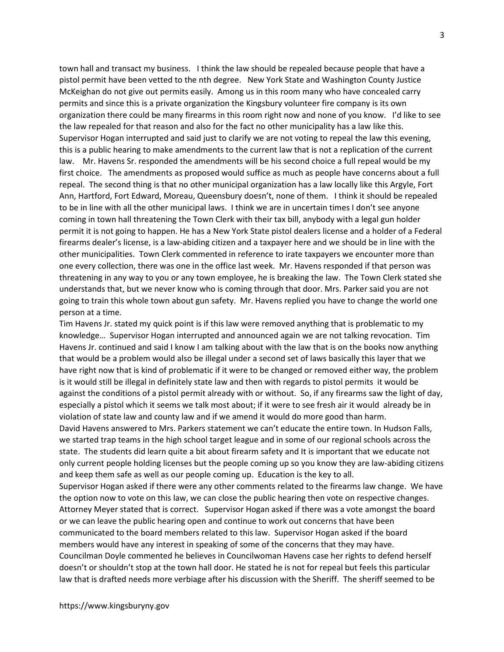town hall and transact my business. I think the law should be repealed because people that have a pistol permit have been vetted to the nth degree. New York State and Washington County Justice McKeighan do not give out permits easily. Among us in this room many who have concealed carry permits and since this is a private organization the Kingsbury volunteer fire company is its own organization there could be many firearms in this room right now and none of you know. I'd like to see the law repealed for that reason and also for the fact no other municipality has a law like this. Supervisor Hogan interrupted and said just to clarify we are not voting to repeal the law this evening, this is a public hearing to make amendments to the current law that is not a replication of the current law. Mr. Havens Sr. responded the amendments will be his second choice a full repeal would be my first choice. The amendments as proposed would suffice as much as people have concerns about a full repeal. The second thing is that no other municipal organization has a law locally like this Argyle, Fort Ann, Hartford, Fort Edward, Moreau, Queensbury doesn't, none of them. I think it should be repealed to be in line with all the other municipal laws. I think we are in uncertain times I don't see anyone coming in town hall threatening the Town Clerk with their tax bill, anybody with a legal gun holder permit it is not going to happen. He has a New York State pistol dealers license and a holder of a Federal firearms dealer's license, is a law-abiding citizen and a taxpayer here and we should be in line with the other municipalities. Town Clerk commented in reference to irate taxpayers we encounter more than one every collection, there was one in the office last week. Mr. Havens responded if that person was threatening in any way to you or any town employee, he is breaking the law. The Town Clerk stated she understands that, but we never know who is coming through that door. Mrs. Parker said you are not going to train this whole town about gun safety. Mr. Havens replied you have to change the world one person at a time.

Tim Havens Jr. stated my quick point is if this law were removed anything that is problematic to my knowledge… Supervisor Hogan interrupted and announced again we are not talking revocation. Tim Havens Jr. continued and said I know I am talking about with the law that is on the books now anything that would be a problem would also be illegal under a second set of laws basically this layer that we have right now that is kind of problematic if it were to be changed or removed either way, the problem is it would still be illegal in definitely state law and then with regards to pistol permits it would be against the conditions of a pistol permit already with or without. So, if any firearms saw the light of day, especially a pistol which it seems we talk most about; if it were to see fresh air it would already be in violation of state law and county law and if we amend it would do more good than harm. David Havens answered to Mrs. Parkers statement we can't educate the entire town. In Hudson Falls,

we started trap teams in the high school target league and in some of our regional schools across the state. The students did learn quite a bit about firearm safety and It is important that we educate not only current people holding licenses but the people coming up so you know they are law-abiding citizens and keep them safe as well as our people coming up. Education is the key to all.

Supervisor Hogan asked if there were any other comments related to the firearms law change. We have the option now to vote on this law, we can close the public hearing then vote on respective changes. Attorney Meyer stated that is correct. Supervisor Hogan asked if there was a vote amongst the board or we can leave the public hearing open and continue to work out concerns that have been communicated to the board members related to this law. Supervisor Hogan asked if the board members would have any interest in speaking of some of the concerns that they may have. Councilman Doyle commented he believes in Councilwoman Havens case her rights to defend herself doesn't or shouldn't stop at the town hall door. He stated he is not for repeal but feels this particular law that is drafted needs more verbiage after his discussion with the Sheriff. The sheriff seemed to be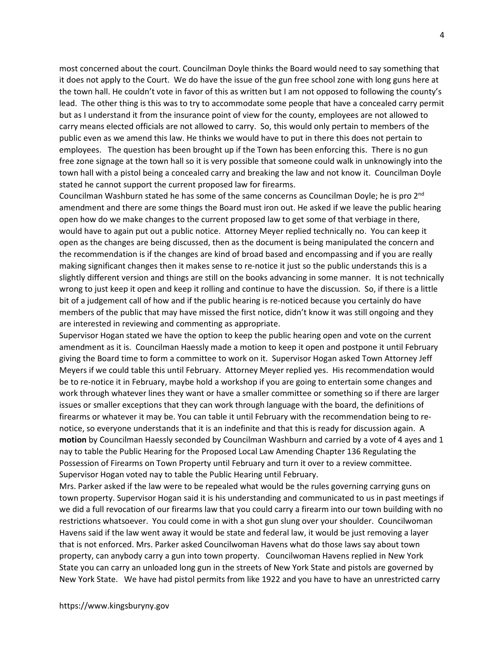most concerned about the court. Councilman Doyle thinks the Board would need to say something that it does not apply to the Court. We do have the issue of the gun free school zone with long guns here at the town hall. He couldn't vote in favor of this as written but I am not opposed to following the county's lead. The other thing is this was to try to accommodate some people that have a concealed carry permit but as I understand it from the insurance point of view for the county, employees are not allowed to carry means elected officials are not allowed to carry. So, this would only pertain to members of the public even as we amend this law. He thinks we would have to put in there this does not pertain to employees. The question has been brought up if the Town has been enforcing this. There is no gun free zone signage at the town hall so it is very possible that someone could walk in unknowingly into the town hall with a pistol being a concealed carry and breaking the law and not know it. Councilman Doyle stated he cannot support the current proposed law for firearms.

Councilman Washburn stated he has some of the same concerns as Councilman Doyle; he is pro 2<sup>nd</sup> amendment and there are some things the Board must iron out. He asked if we leave the public hearing open how do we make changes to the current proposed law to get some of that verbiage in there, would have to again put out a public notice. Attorney Meyer replied technically no. You can keep it open as the changes are being discussed, then as the document is being manipulated the concern and the recommendation is if the changes are kind of broad based and encompassing and if you are really making significant changes then it makes sense to re-notice it just so the public understands this is a slightly different version and things are still on the books advancing in some manner. It is not technically wrong to just keep it open and keep it rolling and continue to have the discussion. So, if there is a little bit of a judgement call of how and if the public hearing is re-noticed because you certainly do have members of the public that may have missed the first notice, didn't know it was still ongoing and they are interested in reviewing and commenting as appropriate.

Supervisor Hogan stated we have the option to keep the public hearing open and vote on the current amendment as it is. Councilman Haessly made a motion to keep it open and postpone it until February giving the Board time to form a committee to work on it. Supervisor Hogan asked Town Attorney Jeff Meyers if we could table this until February. Attorney Meyer replied yes. His recommendation would be to re-notice it in February, maybe hold a workshop if you are going to entertain some changes and work through whatever lines they want or have a smaller committee or something so if there are larger issues or smaller exceptions that they can work through language with the board, the definitions of firearms or whatever it may be. You can table it until February with the recommendation being to renotice, so everyone understands that it is an indefinite and that this is ready for discussion again. A motion by Councilman Haessly seconded by Councilman Washburn and carried by a vote of 4 ayes and 1 nay to table the Public Hearing for the Proposed Local Law Amending Chapter 136 Regulating the Possession of Firearms on Town Property until February and turn it over to a review committee. Supervisor Hogan voted nay to table the Public Hearing until February.

Mrs. Parker asked if the law were to be repealed what would be the rules governing carrying guns on town property. Supervisor Hogan said it is his understanding and communicated to us in past meetings if we did a full revocation of our firearms law that you could carry a firearm into our town building with no restrictions whatsoever. You could come in with a shot gun slung over your shoulder. Councilwoman Havens said if the law went away it would be state and federal law, it would be just removing a layer that is not enforced. Mrs. Parker asked Councilwoman Havens what do those laws say about town property, can anybody carry a gun into town property. Councilwoman Havens replied in New York State you can carry an unloaded long gun in the streets of New York State and pistols are governed by New York State. We have had pistol permits from like 1922 and you have to have an unrestricted carry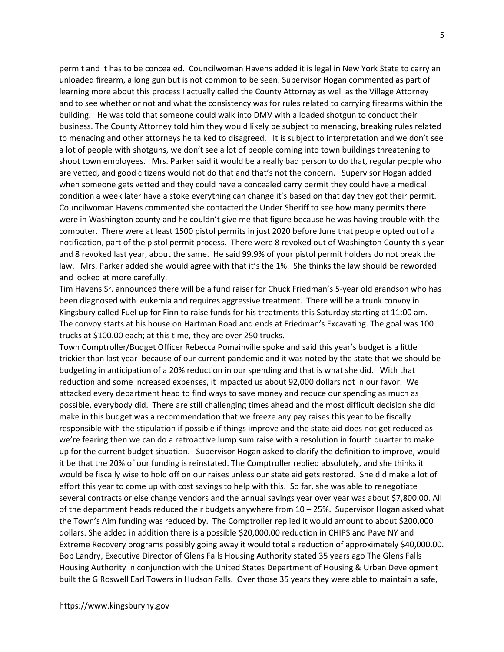permit and it has to be concealed. Councilwoman Havens added it is legal in New York State to carry an unloaded firearm, a long gun but is not common to be seen. Supervisor Hogan commented as part of learning more about this process I actually called the County Attorney as well as the Village Attorney and to see whether or not and what the consistency was for rules related to carrying firearms within the building. He was told that someone could walk into DMV with a loaded shotgun to conduct their business. The County Attorney told him they would likely be subject to menacing, breaking rules related to menacing and other attorneys he talked to disagreed. It is subject to interpretation and we don't see a lot of people with shotguns, we don't see a lot of people coming into town buildings threatening to shoot town employees. Mrs. Parker said it would be a really bad person to do that, regular people who are vetted, and good citizens would not do that and that's not the concern. Supervisor Hogan added when someone gets vetted and they could have a concealed carry permit they could have a medical condition a week later have a stoke everything can change it's based on that day they got their permit. Councilwoman Havens commented she contacted the Under Sheriff to see how many permits there were in Washington county and he couldn't give me that figure because he was having trouble with the computer. There were at least 1500 pistol permits in just 2020 before June that people opted out of a notification, part of the pistol permit process. There were 8 revoked out of Washington County this year and 8 revoked last year, about the same. He said 99.9% of your pistol permit holders do not break the law. Mrs. Parker added she would agree with that it's the 1%. She thinks the law should be reworded and looked at more carefully.

Tim Havens Sr. announced there will be a fund raiser for Chuck Friedman's 5-year old grandson who has been diagnosed with leukemia and requires aggressive treatment. There will be a trunk convoy in Kingsbury called Fuel up for Finn to raise funds for his treatments this Saturday starting at 11:00 am. The convoy starts at his house on Hartman Road and ends at Friedman's Excavating. The goal was 100 trucks at \$100.00 each; at this time, they are over 250 trucks.

Town Comptroller/Budget Officer Rebecca Pomainville spoke and said this year's budget is a little trickier than last year because of our current pandemic and it was noted by the state that we should be budgeting in anticipation of a 20% reduction in our spending and that is what she did. With that reduction and some increased expenses, it impacted us about 92,000 dollars not in our favor. We attacked every department head to find ways to save money and reduce our spending as much as possible, everybody did. There are still challenging times ahead and the most difficult decision she did make in this budget was a recommendation that we freeze any pay raises this year to be fiscally responsible with the stipulation if possible if things improve and the state aid does not get reduced as we're fearing then we can do a retroactive lump sum raise with a resolution in fourth quarter to make up for the current budget situation. Supervisor Hogan asked to clarify the definition to improve, would it be that the 20% of our funding is reinstated. The Comptroller replied absolutely, and she thinks it would be fiscally wise to hold off on our raises unless our state aid gets restored. She did make a lot of effort this year to come up with cost savings to help with this. So far, she was able to renegotiate several contracts or else change vendors and the annual savings year over year was about \$7,800.00. All of the department heads reduced their budgets anywhere from 10 – 25%. Supervisor Hogan asked what the Town's Aim funding was reduced by. The Comptroller replied it would amount to about \$200,000 dollars. She added in addition there is a possible \$20,000.00 reduction in CHIPS and Pave NY and Extreme Recovery programs possibly going away it would total a reduction of approximately \$40,000.00. Bob Landry, Executive Director of Glens Falls Housing Authority stated 35 years ago The Glens Falls Housing Authority in conjunction with the United States Department of Housing & Urban Development built the G Roswell Earl Towers in Hudson Falls. Over those 35 years they were able to maintain a safe,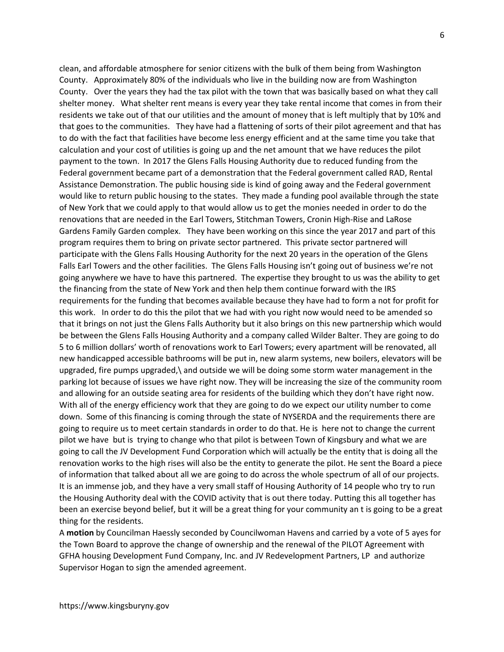clean, and affordable atmosphere for senior citizens with the bulk of them being from Washington County. Approximately 80% of the individuals who live in the building now are from Washington County. Over the years they had the tax pilot with the town that was basically based on what they call shelter money. What shelter rent means is every year they take rental income that comes in from their residents we take out of that our utilities and the amount of money that is left multiply that by 10% and that goes to the communities. They have had a flattening of sorts of their pilot agreement and that has to do with the fact that facilities have become less energy efficient and at the same time you take that calculation and your cost of utilities is going up and the net amount that we have reduces the pilot payment to the town. In 2017 the Glens Falls Housing Authority due to reduced funding from the Federal government became part of a demonstration that the Federal government called RAD, Rental Assistance Demonstration. The public housing side is kind of going away and the Federal government would like to return public housing to the states. They made a funding pool available through the state of New York that we could apply to that would allow us to get the monies needed in order to do the renovations that are needed in the Earl Towers, Stitchman Towers, Cronin High-Rise and LaRose Gardens Family Garden complex. They have been working on this since the year 2017 and part of this program requires them to bring on private sector partnered. This private sector partnered will participate with the Glens Falls Housing Authority for the next 20 years in the operation of the Glens Falls Earl Towers and the other facilities. The Glens Falls Housing isn't going out of business we're not going anywhere we have to have this partnered. The expertise they brought to us was the ability to get the financing from the state of New York and then help them continue forward with the IRS requirements for the funding that becomes available because they have had to form a not for profit for this work. In order to do this the pilot that we had with you right now would need to be amended so that it brings on not just the Glens Falls Authority but it also brings on this new partnership which would be between the Glens Falls Housing Authority and a company called Wilder Balter. They are going to do 5 to 6 million dollars' worth of renovations work to Earl Towers; every apartment will be renovated, all new handicapped accessible bathrooms will be put in, new alarm systems, new boilers, elevators will be upgraded, fire pumps upgraded,\ and outside we will be doing some storm water management in the parking lot because of issues we have right now. They will be increasing the size of the community room and allowing for an outside seating area for residents of the building which they don't have right now. With all of the energy efficiency work that they are going to do we expect our utility number to come down. Some of this financing is coming through the state of NYSERDA and the requirements there are going to require us to meet certain standards in order to do that. He is here not to change the current pilot we have but is trying to change who that pilot is between Town of Kingsbury and what we are going to call the JV Development Fund Corporation which will actually be the entity that is doing all the renovation works to the high rises will also be the entity to generate the pilot. He sent the Board a piece of information that talked about all we are going to do across the whole spectrum of all of our projects. It is an immense job, and they have a very small staff of Housing Authority of 14 people who try to run the Housing Authority deal with the COVID activity that is out there today. Putting this all together has been an exercise beyond belief, but it will be a great thing for your community an t is going to be a great thing for the residents.

A motion by Councilman Haessly seconded by Councilwoman Havens and carried by a vote of 5 ayes for the Town Board to approve the change of ownership and the renewal of the PILOT Agreement with GFHA housing Development Fund Company, Inc. and JV Redevelopment Partners, LP and authorize Supervisor Hogan to sign the amended agreement.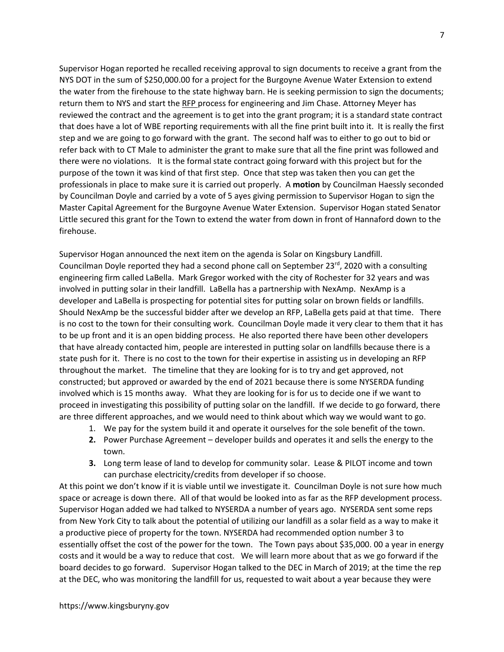Supervisor Hogan reported he recalled receiving approval to sign documents to receive a grant from the NYS DOT in the sum of \$250,000.00 for a project for the Burgoyne Avenue Water Extension to extend the water from the firehouse to the state highway barn. He is seeking permission to sign the documents; return them to NYS and start the RFP process for engineering and Jim Chase. Attorney Meyer has reviewed the contract and the agreement is to get into the grant program; it is a standard state contract that does have a lot of WBE reporting requirements with all the fine print built into it. It is really the first step and we are going to go forward with the grant. The second half was to either to go out to bid or refer back with to CT Male to administer the grant to make sure that all the fine print was followed and there were no violations. It is the formal state contract going forward with this project but for the purpose of the town it was kind of that first step. Once that step was taken then you can get the professionals in place to make sure it is carried out properly. A motion by Councilman Haessly seconded by Councilman Doyle and carried by a vote of 5 ayes giving permission to Supervisor Hogan to sign the Master Capital Agreement for the Burgoyne Avenue Water Extension. Supervisor Hogan stated Senator Little secured this grant for the Town to extend the water from down in front of Hannaford down to the firehouse.

Supervisor Hogan announced the next item on the agenda is Solar on Kingsbury Landfill. Councilman Doyle reported they had a second phone call on September 23 $^{rd}$ , 2020 with a consulting engineering firm called LaBella. Mark Gregor worked with the city of Rochester for 32 years and was involved in putting solar in their landfill. LaBella has a partnership with NexAmp. NexAmp is a developer and LaBella is prospecting for potential sites for putting solar on brown fields or landfills. Should NexAmp be the successful bidder after we develop an RFP, LaBella gets paid at that time. There is no cost to the town for their consulting work. Councilman Doyle made it very clear to them that it has to be up front and it is an open bidding process. He also reported there have been other developers that have already contacted him, people are interested in putting solar on landfills because there is a state push for it. There is no cost to the town for their expertise in assisting us in developing an RFP throughout the market. The timeline that they are looking for is to try and get approved, not constructed; but approved or awarded by the end of 2021 because there is some NYSERDA funding involved which is 15 months away. What they are looking for is for us to decide one if we want to proceed in investigating this possibility of putting solar on the landfill. If we decide to go forward, there are three different approaches, and we would need to think about which way we would want to go.

- 1. We pay for the system build it and operate it ourselves for the sole benefit of the town.
- 2. Power Purchase Agreement developer builds and operates it and sells the energy to the town.
- 3. Long term lease of land to develop for community solar. Lease & PILOT income and town can purchase electricity/credits from developer if so choose.

At this point we don't know if it is viable until we investigate it. Councilman Doyle is not sure how much space or acreage is down there. All of that would be looked into as far as the RFP development process. Supervisor Hogan added we had talked to NYSERDA a number of years ago. NYSERDA sent some reps from New York City to talk about the potential of utilizing our landfill as a solar field as a way to make it a productive piece of property for the town. NYSERDA had recommended option number 3 to essentially offset the cost of the power for the town. The Town pays about \$35,000. 00 a year in energy costs and it would be a way to reduce that cost. We will learn more about that as we go forward if the board decides to go forward. Supervisor Hogan talked to the DEC in March of 2019; at the time the rep at the DEC, who was monitoring the landfill for us, requested to wait about a year because they were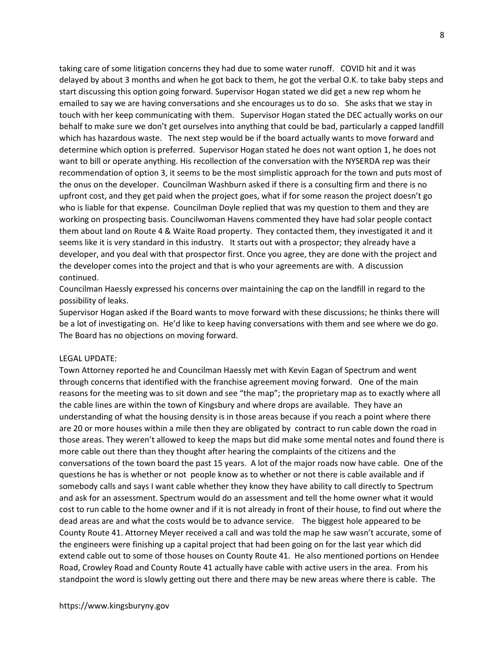taking care of some litigation concerns they had due to some water runoff. COVID hit and it was delayed by about 3 months and when he got back to them, he got the verbal O.K. to take baby steps and start discussing this option going forward. Supervisor Hogan stated we did get a new rep whom he emailed to say we are having conversations and she encourages us to do so. She asks that we stay in touch with her keep communicating with them. Supervisor Hogan stated the DEC actually works on our behalf to make sure we don't get ourselves into anything that could be bad, particularly a capped landfill which has hazardous waste. The next step would be if the board actually wants to move forward and determine which option is preferred. Supervisor Hogan stated he does not want option 1, he does not want to bill or operate anything. His recollection of the conversation with the NYSERDA rep was their recommendation of option 3, it seems to be the most simplistic approach for the town and puts most of the onus on the developer. Councilman Washburn asked if there is a consulting firm and there is no upfront cost, and they get paid when the project goes, what if for some reason the project doesn't go who is liable for that expense. Councilman Doyle replied that was my question to them and they are working on prospecting basis. Councilwoman Havens commented they have had solar people contact them about land on Route 4 & Waite Road property. They contacted them, they investigated it and it seems like it is very standard in this industry. It starts out with a prospector; they already have a developer, and you deal with that prospector first. Once you agree, they are done with the project and the developer comes into the project and that is who your agreements are with. A discussion continued.

Councilman Haessly expressed his concerns over maintaining the cap on the landfill in regard to the possibility of leaks.

Supervisor Hogan asked if the Board wants to move forward with these discussions; he thinks there will be a lot of investigating on. He'd like to keep having conversations with them and see where we do go. The Board has no objections on moving forward.

# LEGAL UPDATE:

Town Attorney reported he and Councilman Haessly met with Kevin Eagan of Spectrum and went through concerns that identified with the franchise agreement moving forward. One of the main reasons for the meeting was to sit down and see "the map"; the proprietary map as to exactly where all the cable lines are within the town of Kingsbury and where drops are available. They have an understanding of what the housing density is in those areas because if you reach a point where there are 20 or more houses within a mile then they are obligated by contract to run cable down the road in those areas. They weren't allowed to keep the maps but did make some mental notes and found there is more cable out there than they thought after hearing the complaints of the citizens and the conversations of the town board the past 15 years. A lot of the major roads now have cable. One of the questions he has is whether or not people know as to whether or not there is cable available and if somebody calls and says I want cable whether they know they have ability to call directly to Spectrum and ask for an assessment. Spectrum would do an assessment and tell the home owner what it would cost to run cable to the home owner and if it is not already in front of their house, to find out where the dead areas are and what the costs would be to advance service. The biggest hole appeared to be County Route 41. Attorney Meyer received a call and was told the map he saw wasn't accurate, some of the engineers were finishing up a capital project that had been going on for the last year which did extend cable out to some of those houses on County Route 41. He also mentioned portions on Hendee Road, Crowley Road and County Route 41 actually have cable with active users in the area. From his standpoint the word is slowly getting out there and there may be new areas where there is cable. The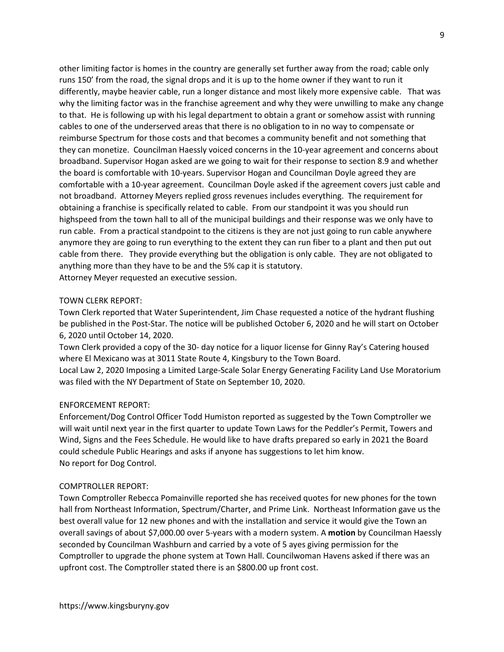other limiting factor is homes in the country are generally set further away from the road; cable only runs 150' from the road, the signal drops and it is up to the home owner if they want to run it differently, maybe heavier cable, run a longer distance and most likely more expensive cable. That was why the limiting factor was in the franchise agreement and why they were unwilling to make any change to that. He is following up with his legal department to obtain a grant or somehow assist with running cables to one of the underserved areas that there is no obligation to in no way to compensate or reimburse Spectrum for those costs and that becomes a community benefit and not something that they can monetize. Councilman Haessly voiced concerns in the 10-year agreement and concerns about broadband. Supervisor Hogan asked are we going to wait for their response to section 8.9 and whether the board is comfortable with 10-years. Supervisor Hogan and Councilman Doyle agreed they are comfortable with a 10-year agreement. Councilman Doyle asked if the agreement covers just cable and not broadband. Attorney Meyers replied gross revenues includes everything. The requirement for obtaining a franchise is specifically related to cable. From our standpoint it was you should run highspeed from the town hall to all of the municipal buildings and their response was we only have to run cable. From a practical standpoint to the citizens is they are not just going to run cable anywhere anymore they are going to run everything to the extent they can run fiber to a plant and then put out cable from there. They provide everything but the obligation is only cable. They are not obligated to anything more than they have to be and the 5% cap it is statutory. Attorney Meyer requested an executive session.

# TOWN CLERK REPORT:

Town Clerk reported that Water Superintendent, Jim Chase requested a notice of the hydrant flushing be published in the Post-Star. The notice will be published October 6, 2020 and he will start on October 6, 2020 until October 14, 2020.

Town Clerk provided a copy of the 30- day notice for a liquor license for Ginny Ray's Catering housed where El Mexicano was at 3011 State Route 4, Kingsbury to the Town Board.

Local Law 2, 2020 Imposing a Limited Large-Scale Solar Energy Generating Facility Land Use Moratorium was filed with the NY Department of State on September 10, 2020.

# ENFORCEMENT REPORT:

Enforcement/Dog Control Officer Todd Humiston reported as suggested by the Town Comptroller we will wait until next year in the first quarter to update Town Laws for the Peddler's Permit, Towers and Wind, Signs and the Fees Schedule. He would like to have drafts prepared so early in 2021 the Board could schedule Public Hearings and asks if anyone has suggestions to let him know. No report for Dog Control.

### COMPTROLLER REPORT:

Town Comptroller Rebecca Pomainville reported she has received quotes for new phones for the town hall from Northeast Information, Spectrum/Charter, and Prime Link. Northeast Information gave us the best overall value for 12 new phones and with the installation and service it would give the Town an overall savings of about \$7,000.00 over 5-years with a modern system. A **motion** by Councilman Haessly seconded by Councilman Washburn and carried by a vote of 5 ayes giving permission for the Comptroller to upgrade the phone system at Town Hall. Councilwoman Havens asked if there was an upfront cost. The Comptroller stated there is an \$800.00 up front cost.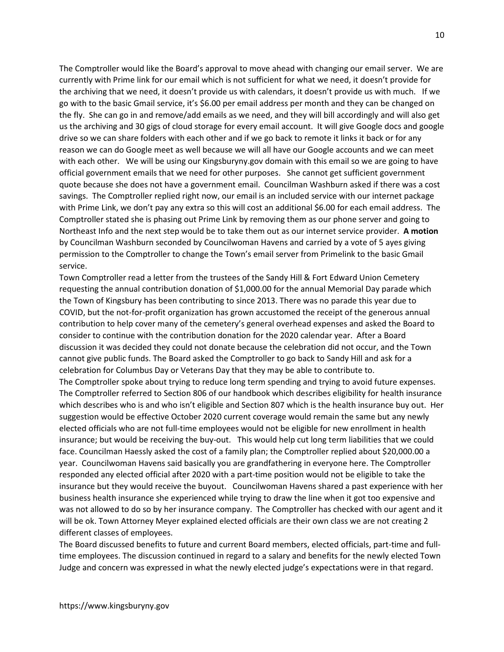The Comptroller would like the Board's approval to move ahead with changing our email server. We are currently with Prime link for our email which is not sufficient for what we need, it doesn't provide for the archiving that we need, it doesn't provide us with calendars, it doesn't provide us with much. If we go with to the basic Gmail service, it's \$6.00 per email address per month and they can be changed on the fly. She can go in and remove/add emails as we need, and they will bill accordingly and will also get us the archiving and 30 gigs of cloud storage for every email account. It will give Google docs and google drive so we can share folders with each other and if we go back to remote it links it back or for any reason we can do Google meet as well because we will all have our Google accounts and we can meet with each other. We will be using our Kingsburyny.gov domain with this email so we are going to have official government emails that we need for other purposes. She cannot get sufficient government quote because she does not have a government email. Councilman Washburn asked if there was a cost savings. The Comptroller replied right now, our email is an included service with our internet package with Prime Link, we don't pay any extra so this will cost an additional \$6.00 for each email address. The Comptroller stated she is phasing out Prime Link by removing them as our phone server and going to Northeast Info and the next step would be to take them out as our internet service provider. A motion by Councilman Washburn seconded by Councilwoman Havens and carried by a vote of 5 ayes giving permission to the Comptroller to change the Town's email server from Primelink to the basic Gmail service.

Town Comptroller read a letter from the trustees of the Sandy Hill & Fort Edward Union Cemetery requesting the annual contribution donation of \$1,000.00 for the annual Memorial Day parade which the Town of Kingsbury has been contributing to since 2013. There was no parade this year due to COVID, but the not-for-profit organization has grown accustomed the receipt of the generous annual contribution to help cover many of the cemetery's general overhead expenses and asked the Board to consider to continue with the contribution donation for the 2020 calendar year. After a Board discussion it was decided they could not donate because the celebration did not occur, and the Town cannot give public funds. The Board asked the Comptroller to go back to Sandy Hill and ask for a celebration for Columbus Day or Veterans Day that they may be able to contribute to.

The Comptroller spoke about trying to reduce long term spending and trying to avoid future expenses. The Comptroller referred to Section 806 of our handbook which describes eligibility for health insurance which describes who is and who isn't eligible and Section 807 which is the health insurance buy out. Her suggestion would be effective October 2020 current coverage would remain the same but any newly elected officials who are not full-time employees would not be eligible for new enrollment in health insurance; but would be receiving the buy-out. This would help cut long term liabilities that we could face. Councilman Haessly asked the cost of a family plan; the Comptroller replied about \$20,000.00 a year. Councilwoman Havens said basically you are grandfathering in everyone here. The Comptroller responded any elected official after 2020 with a part-time position would not be eligible to take the insurance but they would receive the buyout. Councilwoman Havens shared a past experience with her business health insurance she experienced while trying to draw the line when it got too expensive and was not allowed to do so by her insurance company. The Comptroller has checked with our agent and it will be ok. Town Attorney Meyer explained elected officials are their own class we are not creating 2 different classes of employees.

The Board discussed benefits to future and current Board members, elected officials, part-time and fulltime employees. The discussion continued in regard to a salary and benefits for the newly elected Town Judge and concern was expressed in what the newly elected judge's expectations were in that regard.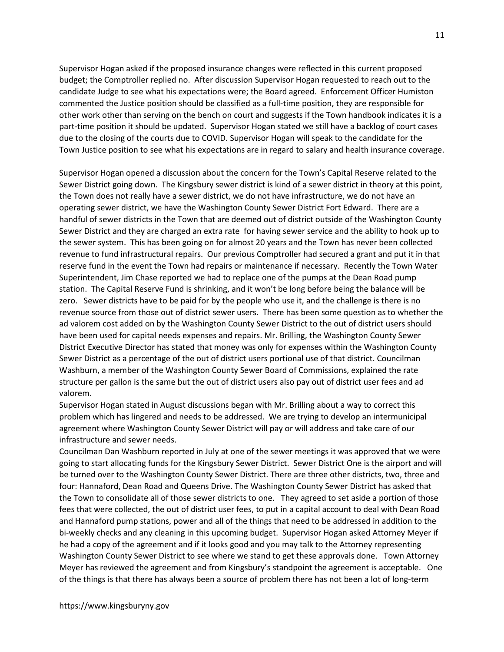Supervisor Hogan asked if the proposed insurance changes were reflected in this current proposed budget; the Comptroller replied no. After discussion Supervisor Hogan requested to reach out to the candidate Judge to see what his expectations were; the Board agreed. Enforcement Officer Humiston commented the Justice position should be classified as a full-time position, they are responsible for other work other than serving on the bench on court and suggests if the Town handbook indicates it is a part-time position it should be updated. Supervisor Hogan stated we still have a backlog of court cases due to the closing of the courts due to COVID. Supervisor Hogan will speak to the candidate for the Town Justice position to see what his expectations are in regard to salary and health insurance coverage.

Supervisor Hogan opened a discussion about the concern for the Town's Capital Reserve related to the Sewer District going down. The Kingsbury sewer district is kind of a sewer district in theory at this point, the Town does not really have a sewer district, we do not have infrastructure, we do not have an operating sewer district, we have the Washington County Sewer District Fort Edward. There are a handful of sewer districts in the Town that are deemed out of district outside of the Washington County Sewer District and they are charged an extra rate for having sewer service and the ability to hook up to the sewer system. This has been going on for almost 20 years and the Town has never been collected revenue to fund infrastructural repairs. Our previous Comptroller had secured a grant and put it in that reserve fund in the event the Town had repairs or maintenance if necessary. Recently the Town Water Superintendent, Jim Chase reported we had to replace one of the pumps at the Dean Road pump station. The Capital Reserve Fund is shrinking, and it won't be long before being the balance will be zero. Sewer districts have to be paid for by the people who use it, and the challenge is there is no revenue source from those out of district sewer users. There has been some question as to whether the ad valorem cost added on by the Washington County Sewer District to the out of district users should have been used for capital needs expenses and repairs. Mr. Brilling, the Washington County Sewer District Executive Director has stated that money was only for expenses within the Washington County Sewer District as a percentage of the out of district users portional use of that district. Councilman Washburn, a member of the Washington County Sewer Board of Commissions, explained the rate structure per gallon is the same but the out of district users also pay out of district user fees and ad valorem.

Supervisor Hogan stated in August discussions began with Mr. Brilling about a way to correct this problem which has lingered and needs to be addressed. We are trying to develop an intermunicipal agreement where Washington County Sewer District will pay or will address and take care of our infrastructure and sewer needs.

Councilman Dan Washburn reported in July at one of the sewer meetings it was approved that we were going to start allocating funds for the Kingsbury Sewer District. Sewer District One is the airport and will be turned over to the Washington County Sewer District. There are three other districts, two, three and four: Hannaford, Dean Road and Queens Drive. The Washington County Sewer District has asked that the Town to consolidate all of those sewer districts to one. They agreed to set aside a portion of those fees that were collected, the out of district user fees, to put in a capital account to deal with Dean Road and Hannaford pump stations, power and all of the things that need to be addressed in addition to the bi-weekly checks and any cleaning in this upcoming budget. Supervisor Hogan asked Attorney Meyer if he had a copy of the agreement and if it looks good and you may talk to the Attorney representing Washington County Sewer District to see where we stand to get these approvals done. Town Attorney Meyer has reviewed the agreement and from Kingsbury's standpoint the agreement is acceptable. One of the things is that there has always been a source of problem there has not been a lot of long-term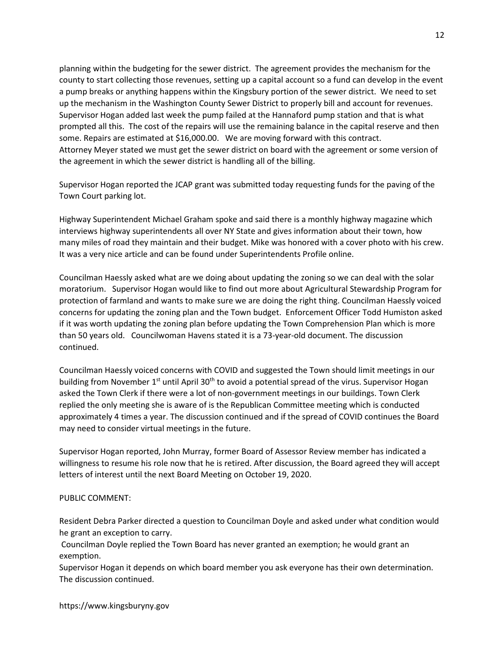planning within the budgeting for the sewer district. The agreement provides the mechanism for the county to start collecting those revenues, setting up a capital account so a fund can develop in the event a pump breaks or anything happens within the Kingsbury portion of the sewer district. We need to set up the mechanism in the Washington County Sewer District to properly bill and account for revenues. Supervisor Hogan added last week the pump failed at the Hannaford pump station and that is what prompted all this. The cost of the repairs will use the remaining balance in the capital reserve and then some. Repairs are estimated at \$16,000.00. We are moving forward with this contract. Attorney Meyer stated we must get the sewer district on board with the agreement or some version of the agreement in which the sewer district is handling all of the billing.

Supervisor Hogan reported the JCAP grant was submitted today requesting funds for the paving of the Town Court parking lot.

Highway Superintendent Michael Graham spoke and said there is a monthly highway magazine which interviews highway superintendents all over NY State and gives information about their town, how many miles of road they maintain and their budget. Mike was honored with a cover photo with his crew. It was a very nice article and can be found under Superintendents Profile online.

Councilman Haessly asked what are we doing about updating the zoning so we can deal with the solar moratorium. Supervisor Hogan would like to find out more about Agricultural Stewardship Program for protection of farmland and wants to make sure we are doing the right thing. Councilman Haessly voiced concerns for updating the zoning plan and the Town budget. Enforcement Officer Todd Humiston asked if it was worth updating the zoning plan before updating the Town Comprehension Plan which is more than 50 years old. Councilwoman Havens stated it is a 73-year-old document. The discussion continued.

Councilman Haessly voiced concerns with COVID and suggested the Town should limit meetings in our building from November  $1<sup>st</sup>$  until April 30<sup>th</sup> to avoid a potential spread of the virus. Supervisor Hogan asked the Town Clerk if there were a lot of non-government meetings in our buildings. Town Clerk replied the only meeting she is aware of is the Republican Committee meeting which is conducted approximately 4 times a year. The discussion continued and if the spread of COVID continues the Board may need to consider virtual meetings in the future.

Supervisor Hogan reported, John Murray, former Board of Assessor Review member has indicated a willingness to resume his role now that he is retired. After discussion, the Board agreed they will accept letters of interest until the next Board Meeting on October 19, 2020.

# PUBLIC COMMENT:

Resident Debra Parker directed a question to Councilman Doyle and asked under what condition would he grant an exception to carry.

 Councilman Doyle replied the Town Board has never granted an exemption; he would grant an exemption.

Supervisor Hogan it depends on which board member you ask everyone has their own determination. The discussion continued.

https://www.kingsburyny.gov